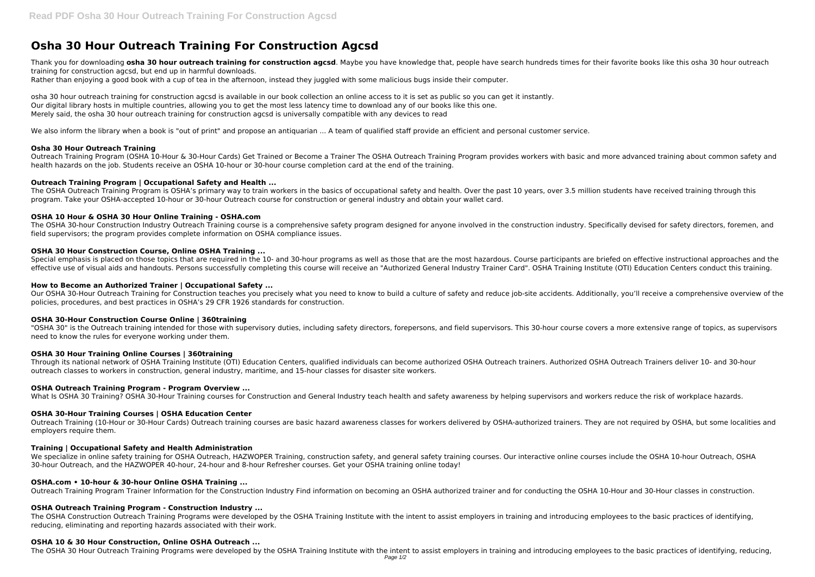# **Osha 30 Hour Outreach Training For Construction Agcsd**

Thank you for downloading **osha 30 hour outreach training for construction agcsd**. Maybe you have knowledge that, people have search hundreds times for their favorite books like this osha 30 hour outreach training for construction agcsd, but end up in harmful downloads.

Rather than enjoying a good book with a cup of tea in the afternoon, instead they juggled with some malicious bugs inside their computer.

osha 30 hour outreach training for construction agcsd is available in our book collection an online access to it is set as public so you can get it instantly. Our digital library hosts in multiple countries, allowing you to get the most less latency time to download any of our books like this one. Merely said, the osha 30 hour outreach training for construction agcsd is universally compatible with any devices to read

We also inform the library when a book is "out of print" and propose an antiquarian ... A team of qualified staff provide an efficient and personal customer service.

The OSHA Outreach Training Program is OSHA's primary way to train workers in the basics of occupational safety and health. Over the past 10 years, over 3.5 million students have received training through this program. Take your OSHA-accepted 10-hour or 30-hour Outreach course for construction or general industry and obtain your wallet card.

## **Osha 30 Hour Outreach Training**

Outreach Training Program (OSHA 10-Hour & 30-Hour Cards) Get Trained or Become a Trainer The OSHA Outreach Training Program provides workers with basic and more advanced training about common safety and health hazards on the job. Students receive an OSHA 10-hour or 30-hour course completion card at the end of the training.

# **Outreach Training Program | Occupational Safety and Health ...**

Our OSHA 30-Hour Outreach Training for Construction teaches you precisely what you need to know to build a culture of safety and reduce job-site accidents. Additionally, you'll receive a comprehensive overview of the policies, procedures, and best practices in OSHA's 29 CFR 1926 standards for construction.

## **OSHA 10 Hour & OSHA 30 Hour Online Training - OSHA.com**

The OSHA 30-hour Construction Industry Outreach Training course is a comprehensive safety program designed for anyone involved in the construction industry. Specifically devised for safety directors, foremen, and field supervisors; the program provides complete information on OSHA compliance issues.

## **OSHA 30 Hour Construction Course, Online OSHA Training ...**

We specialize in online safety training for OSHA Outreach, HAZWOPER Training, construction safety, and general safety training courses. Our interactive online courses include the OSHA 10-hour Outreach, OSHA 30-hour Outreach, and the HAZWOPER 40-hour, 24-hour and 8-hour Refresher courses. Get your OSHA training online today!

Special emphasis is placed on those topics that are required in the 10- and 30-hour programs as well as those that are the most hazardous. Course participants are briefed on effective instructional approaches and the effective use of visual aids and handouts. Persons successfully completing this course will receive an "Authorized General Industry Trainer Card". OSHA Training Institute (OTI) Education Centers conduct this training.

## **How to Become an Authorized Trainer | Occupational Safety ...**

### **OSHA 30-Hour Construction Course Online | 360training**

"OSHA 30" is the Outreach training intended for those with supervisory duties, including safety directors, forepersons, and field supervisors. This 30-hour course covers a more extensive range of topics, as supervisors need to know the rules for everyone working under them.

# **OSHA 30 Hour Training Online Courses | 360training**

Through its national network of OSHA Training Institute (OTI) Education Centers, qualified individuals can become authorized OSHA Outreach trainers. Authorized OSHA Outreach Trainers deliver 10- and 30-hour outreach classes to workers in construction, general industry, maritime, and 15-hour classes for disaster site workers.

# **OSHA Outreach Training Program - Program Overview ...**

What Is OSHA 30 Training? OSHA 30-Hour Training courses for Construction and General Industry teach health and safety awareness by helping supervisors and workers reduce the risk of workplace hazards.

# **OSHA 30-Hour Training Courses | OSHA Education Center**

Outreach Training (10-Hour or 30-Hour Cards) Outreach training courses are basic hazard awareness classes for workers delivered by OSHA-authorized trainers. They are not required by OSHA, but some localities and employers require them.

# **Training | Occupational Safety and Health Administration**

### **OSHA.com • 10-hour & 30-hour Online OSHA Training ...**

Outreach Training Program Trainer Information for the Construction Industry Find information on becoming an OSHA authorized trainer and for conducting the OSHA 10-Hour and 30-Hour classes in construction.

# **OSHA Outreach Training Program - Construction Industry ...**

The OSHA Construction Outreach Training Programs were developed by the OSHA Training Institute with the intent to assist employers in training and introducing employees to the basic practices of identifying, reducing, eliminating and reporting hazards associated with their work.

### **OSHA 10 & 30 Hour Construction, Online OSHA Outreach ...**

The OSHA 30 Hour Outreach Training Programs were developed by the OSHA Training Institute with the intent to assist employers in training and introducing employees to the basic practices of identifying, reducing,